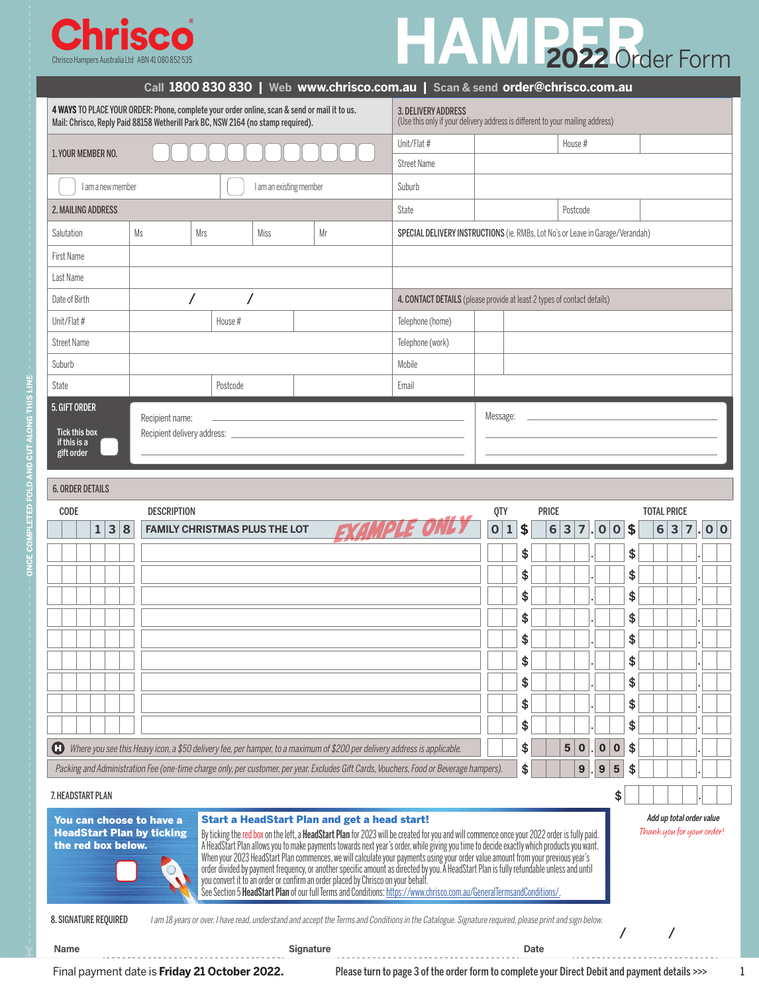

**ONCE COMPLETED FOLD AND CUT ALONG THIS LINE** 

COMPLETED FOLD AND CUT ALONG THIS LIN

# Chrisco Hampers Australia Ltd ABN 41080852535

| Call 1800 830 830   Web www.chrisco.com.au   Scan & send order@chrisco.com.au                                                                                                    |                                      |                                                                               |                                                                                |                                                                                                                                                                                                                                                                                                                                                                                                                                                                                                                                                                                                                                                                                                                                                                                                                                             |                  |   |                         |                |                         |                         |    |          |                |             |    |     |  |                    |  |                                                       |  |
|----------------------------------------------------------------------------------------------------------------------------------------------------------------------------------|--------------------------------------|-------------------------------------------------------------------------------|--------------------------------------------------------------------------------|---------------------------------------------------------------------------------------------------------------------------------------------------------------------------------------------------------------------------------------------------------------------------------------------------------------------------------------------------------------------------------------------------------------------------------------------------------------------------------------------------------------------------------------------------------------------------------------------------------------------------------------------------------------------------------------------------------------------------------------------------------------------------------------------------------------------------------------------|------------------|---|-------------------------|----------------|-------------------------|-------------------------|----|----------|----------------|-------------|----|-----|--|--------------------|--|-------------------------------------------------------|--|
| 4 WAYS TO PLACE YOUR ORDER: Phone, complete your order online, scan & send or mail it to us.<br>Mail: Chrisco, Reply Paid 88158 Wetherill Park BC, NSW 2164 (no stamp required). | <b>3. DELIVERY ADDRESS</b>           | (Use this only if your delivery address is different to your mailing address) |                                                                                |                                                                                                                                                                                                                                                                                                                                                                                                                                                                                                                                                                                                                                                                                                                                                                                                                                             |                  |   |                         |                |                         |                         |    |          |                |             |    |     |  |                    |  |                                                       |  |
| 1. YOUR MEMBER NO.                                                                                                                                                               |                                      | Unit/Flat #<br><b>Street Name</b>                                             | House #                                                                        |                                                                                                                                                                                                                                                                                                                                                                                                                                                                                                                                                                                                                                                                                                                                                                                                                                             |                  |   |                         |                |                         |                         |    |          |                |             |    |     |  |                    |  |                                                       |  |
| I am a new member                                                                                                                                                                |                                      | Suburb                                                                        |                                                                                |                                                                                                                                                                                                                                                                                                                                                                                                                                                                                                                                                                                                                                                                                                                                                                                                                                             |                  |   |                         |                |                         |                         |    |          |                |             |    |     |  |                    |  |                                                       |  |
| 2. MAILING ADDRESS                                                                                                                                                               |                                      |                                                                               |                                                                                |                                                                                                                                                                                                                                                                                                                                                                                                                                                                                                                                                                                                                                                                                                                                                                                                                                             | State            |   |                         |                |                         |                         |    | Postcode |                |             |    |     |  |                    |  |                                                       |  |
| Salutation                                                                                                                                                                       | Ms<br>Mrs                            |                                                                               | SPECIAL DELIVERY INSTRUCTIONS (ie. RMBs, Lot No's or Leave in Garage/Verandah) |                                                                                                                                                                                                                                                                                                                                                                                                                                                                                                                                                                                                                                                                                                                                                                                                                                             |                  |   |                         |                |                         |                         |    |          |                |             |    |     |  |                    |  |                                                       |  |
| <b>First Name</b>                                                                                                                                                                |                                      |                                                                               |                                                                                |                                                                                                                                                                                                                                                                                                                                                                                                                                                                                                                                                                                                                                                                                                                                                                                                                                             |                  |   |                         |                |                         |                         |    |          |                |             |    |     |  |                    |  |                                                       |  |
| Last Name                                                                                                                                                                        |                                      |                                                                               |                                                                                |                                                                                                                                                                                                                                                                                                                                                                                                                                                                                                                                                                                                                                                                                                                                                                                                                                             |                  |   |                         |                |                         |                         |    |          |                |             |    |     |  |                    |  |                                                       |  |
| Date of Birth                                                                                                                                                                    | Τ                                    | $\prime$                                                                      | 4. CONTACT DETAILS (please provide at least 2 types of contact details)        |                                                                                                                                                                                                                                                                                                                                                                                                                                                                                                                                                                                                                                                                                                                                                                                                                                             |                  |   |                         |                |                         |                         |    |          |                |             |    |     |  |                    |  |                                                       |  |
| Unit/Flat #                                                                                                                                                                      |                                      |                                                                               | Telephone (home)                                                               |                                                                                                                                                                                                                                                                                                                                                                                                                                                                                                                                                                                                                                                                                                                                                                                                                                             |                  |   |                         |                |                         |                         |    |          |                |             |    |     |  |                    |  |                                                       |  |
| <b>Street Name</b>                                                                                                                                                               |                                      |                                                                               |                                                                                |                                                                                                                                                                                                                                                                                                                                                                                                                                                                                                                                                                                                                                                                                                                                                                                                                                             | Telephone (work) |   |                         |                |                         |                         |    |          |                |             |    |     |  |                    |  |                                                       |  |
| Suburb                                                                                                                                                                           |                                      | Mobile                                                                        |                                                                                |                                                                                                                                                                                                                                                                                                                                                                                                                                                                                                                                                                                                                                                                                                                                                                                                                                             |                  |   |                         |                |                         |                         |    |          |                |             |    |     |  |                    |  |                                                       |  |
| State                                                                                                                                                                            |                                      | Postcode                                                                      |                                                                                |                                                                                                                                                                                                                                                                                                                                                                                                                                                                                                                                                                                                                                                                                                                                                                                                                                             | Email            |   |                         |                |                         |                         |    |          |                |             |    |     |  |                    |  |                                                       |  |
| 5. GIFT ORDER<br><b>Tick this box</b><br>if this is a<br>gift order                                                                                                              |                                      | Message:                                                                      |                                                                                |                                                                                                                                                                                                                                                                                                                                                                                                                                                                                                                                                                                                                                                                                                                                                                                                                                             |                  |   |                         |                |                         |                         |    |          |                |             |    |     |  |                    |  |                                                       |  |
| <b>6. ORDER DETAILS</b>                                                                                                                                                          |                                      |                                                                               |                                                                                |                                                                                                                                                                                                                                                                                                                                                                                                                                                                                                                                                                                                                                                                                                                                                                                                                                             |                  |   |                         |                |                         |                         |    |          |                |             |    |     |  |                    |  |                                                       |  |
| CODE<br><b>DESCRIPTION</b><br>ZAMPLE                                                                                                                                             |                                      |                                                                               |                                                                                |                                                                                                                                                                                                                                                                                                                                                                                                                                                                                                                                                                                                                                                                                                                                                                                                                                             |                  |   |                         |                |                         | <b>PRICE</b>            |    |          |                |             |    |     |  | <b>TOTAL PRICE</b> |  |                                                       |  |
| $\mathbf 1$<br>3 8                                                                                                                                                               | <b>FAMILY CHRISTMAS PLUS THE LOT</b> |                                                                               | $\mathbf 0$<br>$\mathbf 1$                                                     |                                                                                                                                                                                                                                                                                                                                                                                                                                                                                                                                                                                                                                                                                                                                                                                                                                             | \$               | 6 | $\overline{\mathbf{3}}$ | $\overline{7}$ | $\overline{\mathbf{0}}$ | $\overline{\mathbf{0}}$ | \$ |          | $6\phantom{1}$ | 3           | 7  | 0 0 |  |                    |  |                                                       |  |
|                                                                                                                                                                                  |                                      |                                                                               |                                                                                |                                                                                                                                                                                                                                                                                                                                                                                                                                                                                                                                                                                                                                                                                                                                                                                                                                             |                  |   |                         |                |                         |                         |    |          |                |             |    |     |  |                    |  |                                                       |  |
|                                                                                                                                                                                  |                                      |                                                                               |                                                                                |                                                                                                                                                                                                                                                                                                                                                                                                                                                                                                                                                                                                                                                                                                                                                                                                                                             |                  |   |                         |                | \$                      |                         |    |          |                |             | \$ |     |  |                    |  |                                                       |  |
|                                                                                                                                                                                  |                                      |                                                                               |                                                                                |                                                                                                                                                                                                                                                                                                                                                                                                                                                                                                                                                                                                                                                                                                                                                                                                                                             |                  |   |                         |                | \$                      |                         |    |          |                |             | \$ |     |  |                    |  |                                                       |  |
|                                                                                                                                                                                  |                                      |                                                                               |                                                                                |                                                                                                                                                                                                                                                                                                                                                                                                                                                                                                                                                                                                                                                                                                                                                                                                                                             |                  |   |                         |                | \$                      |                         |    |          |                |             | \$ |     |  |                    |  |                                                       |  |
|                                                                                                                                                                                  |                                      |                                                                               |                                                                                |                                                                                                                                                                                                                                                                                                                                                                                                                                                                                                                                                                                                                                                                                                                                                                                                                                             |                  |   |                         |                | \$                      |                         |    |          |                |             | \$ |     |  |                    |  |                                                       |  |
|                                                                                                                                                                                  |                                      |                                                                               |                                                                                |                                                                                                                                                                                                                                                                                                                                                                                                                                                                                                                                                                                                                                                                                                                                                                                                                                             |                  |   |                         |                | \$                      |                         |    |          |                |             | \$ |     |  |                    |  |                                                       |  |
|                                                                                                                                                                                  |                                      |                                                                               |                                                                                |                                                                                                                                                                                                                                                                                                                                                                                                                                                                                                                                                                                                                                                                                                                                                                                                                                             |                  |   |                         |                | \$                      |                         |    |          |                |             | \$ |     |  |                    |  |                                                       |  |
|                                                                                                                                                                                  |                                      |                                                                               |                                                                                |                                                                                                                                                                                                                                                                                                                                                                                                                                                                                                                                                                                                                                                                                                                                                                                                                                             |                  |   |                         |                | \$                      |                         |    |          |                |             | \$ |     |  |                    |  |                                                       |  |
|                                                                                                                                                                                  |                                      |                                                                               |                                                                                |                                                                                                                                                                                                                                                                                                                                                                                                                                                                                                                                                                                                                                                                                                                                                                                                                                             |                  |   |                         |                | \$                      |                         |    |          |                |             | \$ |     |  |                    |  |                                                       |  |
|                                                                                                                                                                                  |                                      |                                                                               |                                                                                |                                                                                                                                                                                                                                                                                                                                                                                                                                                                                                                                                                                                                                                                                                                                                                                                                                             |                  |   |                         |                | \$                      |                         |    |          |                |             | \$ |     |  |                    |  |                                                       |  |
|                                                                                                                                                                                  |                                      |                                                                               |                                                                                | Where you see this Heavy icon, a \$50 delivery fee, per hamper, to a maximum of \$200 per delivery address is applicable.                                                                                                                                                                                                                                                                                                                                                                                                                                                                                                                                                                                                                                                                                                                   |                  |   |                         |                | \$                      |                         | 5  | $\bf{0}$ | $\bf{0}$       | $\mathbf 0$ | \$ |     |  |                    |  |                                                       |  |
|                                                                                                                                                                                  |                                      |                                                                               |                                                                                | Packing and Administration Fee (one-time charge only, per customer, per year. Excludes Gift Cards, Vouchers, Food or Beverage hampers).                                                                                                                                                                                                                                                                                                                                                                                                                                                                                                                                                                                                                                                                                                     |                  |   |                         |                | \$                      |                         |    | 9        | 9              | ${\bf 5}$   | \$ |     |  |                    |  |                                                       |  |
| 7. HEADSTART PLAN                                                                                                                                                                |                                      |                                                                               |                                                                                |                                                                                                                                                                                                                                                                                                                                                                                                                                                                                                                                                                                                                                                                                                                                                                                                                                             |                  |   |                         |                |                         |                         |    |          |                | \$          |    |     |  |                    |  |                                                       |  |
| You can choose to have a<br><b>HeadStart Plan by ticking</b><br>the red box below.                                                                                               |                                      |                                                                               |                                                                                | <b>Start a HeadStart Plan and get a head start!</b><br>By ticking the red box on the left, a HeadStart Plan for 2023 will be created for you and will commence once your 2022 order is fully paid.<br>A HeadStart Plan allows you to make payments towards next year's order, while giving you time to decide exactly which products you want.<br>When your 2023 HeadStart Plan commences, we will calculate your payments using your order value amount from your previous year's<br>order divided by payment frequency, or another specific amount as directed by you. A HeadStart Plan is fully refundable unless and until<br>you convert it to an order or confirm an order placed by Chrisco on your behalf.<br>See Section 5 HeadStart Plan of our full Terms and Conditions: https://www.chrisco.com.au/GeneralTermsandConditions/. |                  |   |                         |                |                         |                         |    |          |                |             |    |     |  |                    |  | Add up total order value<br>Thank you for your order! |  |
| 8. SIGNATURE REQUIRED                                                                                                                                                            |                                      |                                                                               |                                                                                | I am 18 years or over. I have read, understand and accept the Terms and Conditions in the Catalogue. Signature required, please print and sign below.                                                                                                                                                                                                                                                                                                                                                                                                                                                                                                                                                                                                                                                                                       |                  |   |                         |                |                         |                         |    |          |                |             |    |     |  |                    |  |                                                       |  |

Please turn to page 3 of the order form to complete your Direct Debit and payment details >>> 1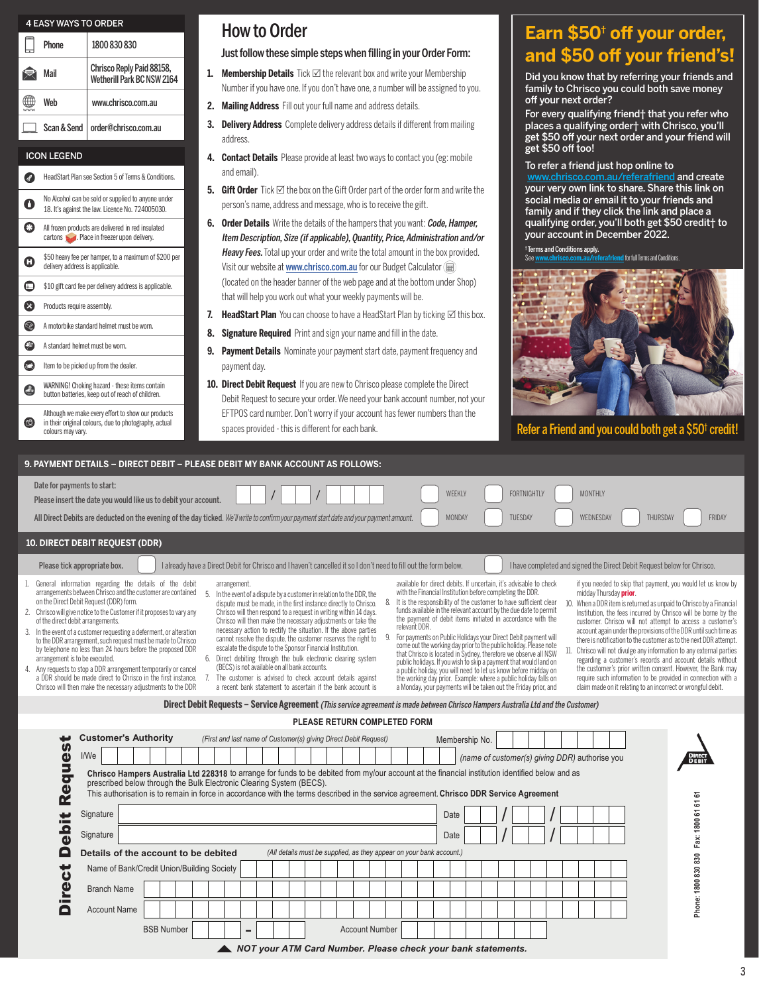|            | <b>4 EASY WAYS TO ORDER</b>       |                                                                                                                                                                                                                 |          |              |              | <b>How to Order</b>                                                                                                                   |  |                                                                                                                                                                         |               |                                                                                                                                                                                                        |  |                                                |                                                                                                                |                                |          | Earn \$50 <sup>†</sup> off your order,                                                                                                                  |        |
|------------|-----------------------------------|-----------------------------------------------------------------------------------------------------------------------------------------------------------------------------------------------------------------|----------|--------------|--------------|---------------------------------------------------------------------------------------------------------------------------------------|--|-------------------------------------------------------------------------------------------------------------------------------------------------------------------------|---------------|--------------------------------------------------------------------------------------------------------------------------------------------------------------------------------------------------------|--|------------------------------------------------|----------------------------------------------------------------------------------------------------------------|--------------------------------|----------|---------------------------------------------------------------------------------------------------------------------------------------------------------|--------|
| ⊾          | Phone                             | 1800 830 830                                                                                                                                                                                                    |          |              |              |                                                                                                                                       |  | Just follow these simple steps when filling in your Order Form:                                                                                                         |               |                                                                                                                                                                                                        |  |                                                |                                                                                                                |                                |          | and \$50 off your friend's!                                                                                                                             |        |
|            | Mail                              | Chrisco Reply Paid 88158,<br>Wetherill Park BC NSW 2164                                                                                                                                                         | 1.       |              |              |                                                                                                                                       |  | <b>Membership Details</b> $Tick \nabla$ the relevant box and write your Membership<br>Number if you have one. If you don't have one, a number will be assigned to you.  |               |                                                                                                                                                                                                        |  |                                                |                                                                                                                |                                |          | Did you know that by referring your friends and<br>family to Chrisco you could both save money                                                          |        |
| ∰          | Web                               | www.chrisco.com.au                                                                                                                                                                                              |          |              |              |                                                                                                                                       |  | 2. Mailing Address Fill out your full name and address details.                                                                                                         |               |                                                                                                                                                                                                        |  |                                                | off your next order?                                                                                           |                                |          |                                                                                                                                                         |        |
|            | Scan & Send                       | order@chrisco.com.au                                                                                                                                                                                            | 3.       | address.     |              |                                                                                                                                       |  | Delivery Address Complete delivery address details if different from mailing                                                                                            |               |                                                                                                                                                                                                        |  |                                                |                                                                                                                |                                |          | For every qualifying friend+ that you refer who<br>places a qualifying order+ with Chrisco, you'll<br>get \$50 off your next order and your friend will |        |
|            | <b>ICON LEGEND</b>                |                                                                                                                                                                                                                 |          |              |              |                                                                                                                                       |  | 4. Contact Details Please provide at least two ways to contact you (eg: mobile                                                                                          |               |                                                                                                                                                                                                        |  | get \$50 off too!                              |                                                                                                                |                                |          |                                                                                                                                                         |        |
| Ø          |                                   | HeadStart Plan see Section 5 of Terms & Conditions.                                                                                                                                                             |          |              | and email).  |                                                                                                                                       |  |                                                                                                                                                                         |               |                                                                                                                                                                                                        |  |                                                | To refer a friend just hop online to                                                                           |                                |          | www.chrisco.com.au/referafriend and create                                                                                                              |        |
| O          |                                   | No Alcohol can be sold or supplied to anyone under<br>18. It's against the law. Licence No. 724005030.                                                                                                          |          |              |              |                                                                                                                                       |  | <b>5. Gift Order</b> Tick $\boxtimes$ the box on the Gift Order part of the order form and write the<br>person's name, address and message, who is to receive the gift. |               |                                                                                                                                                                                                        |  |                                                |                                                                                                                |                                |          | your very own link to share. Share this link on<br>social media or email it to your friends and<br>family and if they click the link and place a        |        |
| $\bullet$  |                                   | All frozen products are delivered in red insulated<br>cartons <b>based</b> . Place in freezer upon delivery.                                                                                                    |          |              |              |                                                                                                                                       |  | 6. Order Details Write the details of the hampers that you want: Code, Hamper,<br>Item Description, Size (if applicable), Quantity, Price, Administration and/or        |               |                                                                                                                                                                                                        |  |                                                | your account in December 2022.                                                                                 |                                |          | qualifying order, you'll both get \$50 credit+ to                                                                                                       |        |
| O          | delivery address is applicable.   | \$50 heavy fee per hamper, to a maximum of \$200 per                                                                                                                                                            |          |              |              |                                                                                                                                       |  | Heavy Fees. Total up your order and write the total amount in the box provided.<br>Visit our website at <b>www.chrisco.com.au</b> for our Budget Calculator (E)         |               |                                                                                                                                                                                                        |  |                                                | <sup>†</sup> Terms and Conditions apply.<br>See www.chrisco.com.au/referafriend for full Terms and Conditions. |                                |          |                                                                                                                                                         |        |
| ⊌          |                                   | \$10 gift card fee per delivery address is applicable.                                                                                                                                                          |          |              |              |                                                                                                                                       |  | (located on the header banner of the web page and at the bottom under Shop)                                                                                             |               |                                                                                                                                                                                                        |  |                                                |                                                                                                                |                                |          |                                                                                                                                                         |        |
| ೞ          | Products require assembly.        |                                                                                                                                                                                                                 |          |              |              |                                                                                                                                       |  | that will help you work out what your weekly payments will be.                                                                                                          |               |                                                                                                                                                                                                        |  |                                                |                                                                                                                |                                |          |                                                                                                                                                         |        |
| ং≳         |                                   | A motorbike standard helmet must be worn.                                                                                                                                                                       | 7.<br>8. |              |              |                                                                                                                                       |  | <b>HeadStart Plan</b> You can choose to have a HeadStart Plan by ticking $\boxtimes$ this box.<br>Signature Required Print and sign your name and fill in the date.     |               |                                                                                                                                                                                                        |  |                                                |                                                                                                                |                                |          |                                                                                                                                                         |        |
| G          | A standard helmet must be worn.   |                                                                                                                                                                                                                 |          |              |              |                                                                                                                                       |  | 9. Payment Details Nominate your payment start date, payment frequency and                                                                                              |               |                                                                                                                                                                                                        |  |                                                |                                                                                                                |                                |          |                                                                                                                                                         |        |
| $\epsilon$ |                                   | Item to be picked up from the dealer.                                                                                                                                                                           |          |              | payment day. |                                                                                                                                       |  |                                                                                                                                                                         |               |                                                                                                                                                                                                        |  |                                                |                                                                                                                |                                |          |                                                                                                                                                         |        |
| Θ          |                                   | WARNING! Choking hazard - these items contain<br>button batteries, keep out of reach of children.                                                                                                               |          |              |              |                                                                                                                                       |  | 10. Direct Debit Request If you are new to Chrisco please complete the Direct<br>Debit Request to secure your order. We need your bank account number, not your         |               |                                                                                                                                                                                                        |  |                                                |                                                                                                                |                                |          |                                                                                                                                                         |        |
| <b>6</b>   | colours may vary.                 | Although we make every effort to show our products<br>in their original colours, due to photography, actual                                                                                                     |          |              |              | spaces provided - this is different for each bank.                                                                                    |  | EFTPOS card number. Don't worry if your account has fewer numbers than the                                                                                              |               |                                                                                                                                                                                                        |  |                                                |                                                                                                                |                                |          | Refer a Friend and you could both get a \$50 <sup>t</sup> credit!                                                                                       |        |
|            |                                   |                                                                                                                                                                                                                 |          |              |              |                                                                                                                                       |  |                                                                                                                                                                         |               |                                                                                                                                                                                                        |  |                                                |                                                                                                                |                                |          |                                                                                                                                                         |        |
|            |                                   | 9. PAYMENT DETAILS - DIRECT DEBIT - PLEASE DEBIT MY BANK ACCOUNT AS FOLLOWS:                                                                                                                                    |          |              |              |                                                                                                                                       |  |                                                                                                                                                                         |               |                                                                                                                                                                                                        |  |                                                |                                                                                                                |                                |          |                                                                                                                                                         |        |
|            | Date for payments to start:       |                                                                                                                                                                                                                 |          |              |              |                                                                                                                                       |  |                                                                                                                                                                         |               | WEEKLY                                                                                                                                                                                                 |  | <b>FORTNIGHTLY</b>                             | <b>MONTHLY</b>                                                                                                 |                                |          |                                                                                                                                                         |        |
|            |                                   | Please insert the date you would like us to debit your account.<br>All Direct Debits are deducted on the evening of the day ticked. We'll write to confirm your payment start date and your payment amount.     |          |              |              |                                                                                                                                       |  |                                                                                                                                                                         |               | <b>MONDAY</b>                                                                                                                                                                                          |  | TUESDAY                                        | WEDNESDAY                                                                                                      |                                | THURSDAY |                                                                                                                                                         | FRIDAY |
|            |                                   |                                                                                                                                                                                                                 |          |              |              |                                                                                                                                       |  |                                                                                                                                                                         |               |                                                                                                                                                                                                        |  |                                                |                                                                                                                |                                |          |                                                                                                                                                         |        |
|            |                                   | 10. DIRECT DEBIT REQUEST (DDR)                                                                                                                                                                                  |          |              |              |                                                                                                                                       |  |                                                                                                                                                                         |               |                                                                                                                                                                                                        |  |                                                |                                                                                                                |                                |          |                                                                                                                                                         |        |
|            | Please tick appropriate box.      |                                                                                                                                                                                                                 |          |              |              |                                                                                                                                       |  | I already have a Direct Debit for Chrisco and I haven't cancelled it so I don't need to fill out the form below.                                                        |               |                                                                                                                                                                                                        |  |                                                |                                                                                                                |                                |          | I have completed and signed the Direct Debit Request below for Chrisco.                                                                                 |        |
|            |                                   | 1. General information regarding the details of the debit<br>arrangements between Chrisco and the customer are contained 5                                                                                      |          | arrangement. |              | In the event of a dispute by a customer in relation to the DDR, the                                                                   |  |                                                                                                                                                                         |               | available for direct debits. If uncertain, it's advisable to check<br>with the Financial Institution before completing the DDR.                                                                        |  |                                                |                                                                                                                | midday Thursday <b>prior</b> . |          | if you needed to skip that payment, you would let us know by                                                                                            |        |
|            |                                   | on the Direct Debit Request (DDR) form.<br>2. Chrisco will give notice to the Customer if it proposes to vary any                                                                                               |          |              |              | dispute must be made, in the first instance directly to Chrisco.<br>Chrisco will then respond to a request in writing within 14 days. |  |                                                                                                                                                                         | 8.            | It is the responsibility of the customer to have sufficient clear<br>funds available in the relevant account by the due date to permit<br>the payment of debit items initiated in accordance with the  |  |                                                |                                                                                                                |                                |          | 10. When a DDR item is returned as unpaid to Chrisco by a Financial<br>Institution, the fees incurred by Chrisco will be borne by the                   |        |
|            | of the direct debit arrangements. | 3. In the event of a customer requesting a deferment, or alteration                                                                                                                                             |          |              |              | Chrisco will then make the necessary adjustments or take the<br>necessary action to rectify the situation. If the above parties       |  | 9.                                                                                                                                                                      | relevant DDR. |                                                                                                                                                                                                        |  |                                                |                                                                                                                |                                |          | customer. Chrisco will not attempt to access a customer's<br>account again under the provisions of the DDR until such time as                           |        |
|            |                                   | to the DDR arrangement, such request must be made to Chrisco<br>by telephone no less than 24 hours before the proposed DDR                                                                                      |          |              |              | escalate the dispute to the Sponsor Financial Institution.                                                                            |  | cannot resolve the dispute, the customer reserves the right to                                                                                                          |               | For payments on Public Holidays your Direct Debit payment will<br>come out the working day prior to the public holiday. Please note<br>that Chrisco is located in Sydney, therefore we observe all NSW |  |                                                |                                                                                                                |                                |          | there is notification to the customer as to the next DDR attempt.<br>11. Chrisco will not divulge any information to any external parties               |        |
|            | arrangement is to be executed.    | 4. Any requests to stop a DDR arrangement temporarily or cancel                                                                                                                                                 | 6.       |              |              | Direct debiting through the bulk electronic clearing system<br>(BECS) is not available on all bank accounts.                          |  |                                                                                                                                                                         |               | public holidays. If you wish to skip a payment that would land on<br>a public holiday, you will need to let us know before midday on                                                                   |  |                                                |                                                                                                                |                                |          | regarding a customer's records and account details without<br>the customer's prior written consent. However, the Bank may                               |        |
|            |                                   | a DDR should be made direct to Chrisco in the first instance.<br>Chrisco will then make the necessary adjustments to the DDR                                                                                    | 7        |              |              | The customer is advised to check account details against<br>a recent bank statement to ascertain if the bank account is               |  |                                                                                                                                                                         |               | the working day prior. Example: where a public holiday falls on<br>a Monday, your payments will be taken out the Friday prior, and                                                                     |  |                                                |                                                                                                                |                                |          | require such information to be provided in connection with a<br>claim made on it relating to an incorrect or wrongful debit.                            |        |
|            |                                   |                                                                                                                                                                                                                 |          |              |              |                                                                                                                                       |  | Direct Debit Requests – Service Agreement (This service agreement is made between Chrisco Hampers Australia Ltd and the Customer)                                       |               |                                                                                                                                                                                                        |  |                                                |                                                                                                                |                                |          |                                                                                                                                                         |        |
|            |                                   |                                                                                                                                                                                                                 |          |              |              |                                                                                                                                       |  | PLEASE RETURN COMPLETED FORM                                                                                                                                            |               |                                                                                                                                                                                                        |  |                                                |                                                                                                                |                                |          |                                                                                                                                                         |        |
|            | Request                           | <b>Customer's Authority</b><br>I/We                                                                                                                                                                             |          |              |              |                                                                                                                                       |  | (First and last name of Customer(s) giving Direct Debit Request)                                                                                                        |               | Membership No.                                                                                                                                                                                         |  | (name of customer(s) giving DDR) authorise you |                                                                                                                |                                |          |                                                                                                                                                         |        |
|            |                                   | Chrisco Hampers Australia Ltd 228318 to arrange for funds to be debited from my/our account at the financial institution identified below and as                                                                |          |              |              |                                                                                                                                       |  |                                                                                                                                                                         |               |                                                                                                                                                                                                        |  |                                                |                                                                                                                |                                |          | DEBI                                                                                                                                                    |        |
|            |                                   | prescribed below through the Bulk Electronic Clearing System (BECS).<br>This authorisation is to remain in force in accordance with the terms described in the service agreement. Chrisco DDR Service Agreement |          |              |              |                                                                                                                                       |  |                                                                                                                                                                         |               |                                                                                                                                                                                                        |  |                                                |                                                                                                                |                                |          |                                                                                                                                                         |        |
|            |                                   | Signature                                                                                                                                                                                                       |          |              |              |                                                                                                                                       |  |                                                                                                                                                                         |               | Date                                                                                                                                                                                                   |  |                                                |                                                                                                                |                                |          |                                                                                                                                                         |        |
|            | <b>Debit</b>                      | Signature                                                                                                                                                                                                       |          |              |              |                                                                                                                                       |  |                                                                                                                                                                         |               | Date                                                                                                                                                                                                   |  |                                                |                                                                                                                |                                |          |                                                                                                                                                         |        |
|            |                                   |                                                                                                                                                                                                                 |          |              |              |                                                                                                                                       |  | (All details must be supplied, as they appear on your bank account.)                                                                                                    |               |                                                                                                                                                                                                        |  |                                                |                                                                                                                |                                |          |                                                                                                                                                         |        |
|            |                                   | Details of the account to be debited                                                                                                                                                                            |          |              |              |                                                                                                                                       |  |                                                                                                                                                                         |               |                                                                                                                                                                                                        |  |                                                |                                                                                                                |                                |          |                                                                                                                                                         |        |
|            |                                   | Name of Bank/Credit Union/Building Society                                                                                                                                                                      |          |              |              |                                                                                                                                       |  |                                                                                                                                                                         |               |                                                                                                                                                                                                        |  |                                                |                                                                                                                |                                |          |                                                                                                                                                         |        |
|            |                                   | <b>Branch Name</b>                                                                                                                                                                                              |          |              |              |                                                                                                                                       |  |                                                                                                                                                                         |               |                                                                                                                                                                                                        |  |                                                |                                                                                                                |                                |          |                                                                                                                                                         |        |
|            | <b>Direct</b>                     | <b>Account Name</b>                                                                                                                                                                                             |          |              |              |                                                                                                                                       |  |                                                                                                                                                                         |               |                                                                                                                                                                                                        |  |                                                |                                                                                                                |                                |          | Phone: 1800 830 830 Fax: 1800 61 61 61                                                                                                                  |        |

*NOT your ATM Card Number. Please check your bank statements.*